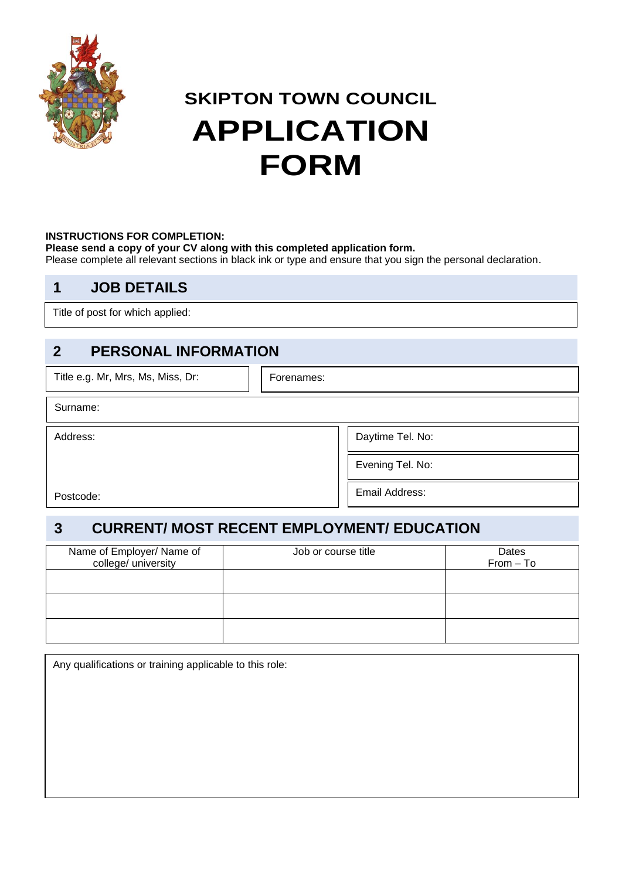

## **SKIPTON TOWN COUNCIL APPLICATION FORM**

#### **INSTRUCTIONS FOR COMPLETION:**

**Please send a copy of your CV along with this completed application form.** 

Please complete all relevant sections in black ink or type and ensure that you sign the personal declaration.

#### **1 JOB DETAILS**

Title of post for which applied:

#### **2 PERSONAL INFORMATION**

| Title e.g. Mr, Mrs, Ms, Miss, Dr: | Forenames:       |
|-----------------------------------|------------------|
| Surname:                          |                  |
| Address:                          | Daytime Tel. No: |
|                                   | Evening Tel. No: |
| Postcode:                         | Email Address:   |

### **3 CURRENT/ MOST RECENT EMPLOYMENT/ EDUCATION**

| Name of Employer/ Name of | Job or course title | Dates       |
|---------------------------|---------------------|-------------|
|                           |                     |             |
| college/ university       |                     | $From - To$ |
|                           |                     |             |
|                           |                     |             |
|                           |                     |             |
|                           |                     |             |
|                           |                     |             |
|                           |                     |             |
|                           |                     |             |
|                           |                     |             |
|                           |                     |             |
|                           |                     |             |
|                           |                     |             |
|                           |                     |             |
|                           |                     |             |

Any qualifications or training applicable to this role: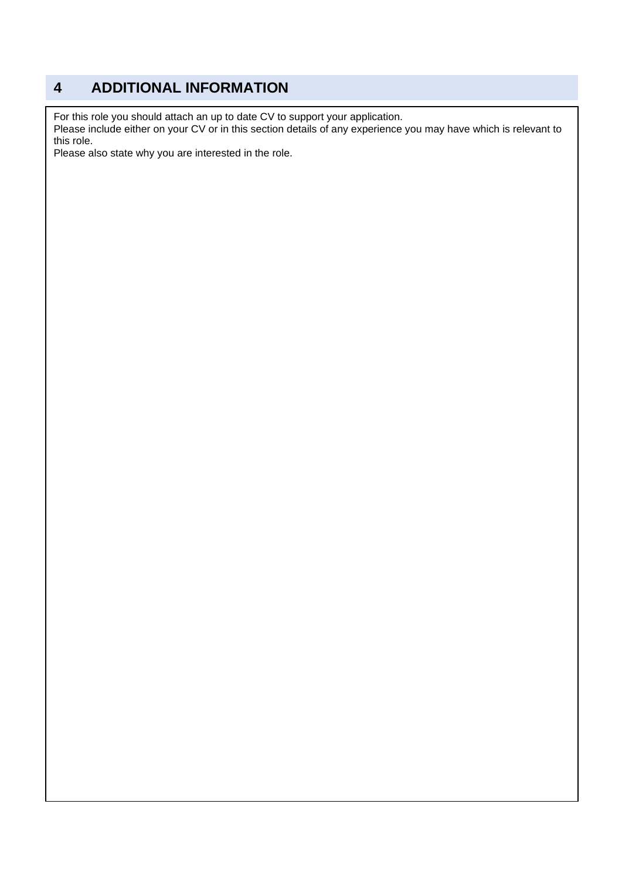#### **4 ADDITIONAL INFORMATION**

For this role you should attach an up to date CV to support your application.

Please include either on your CV or in this section details of any experience you may have which is relevant to this role.

Please also state why you are interested in the role.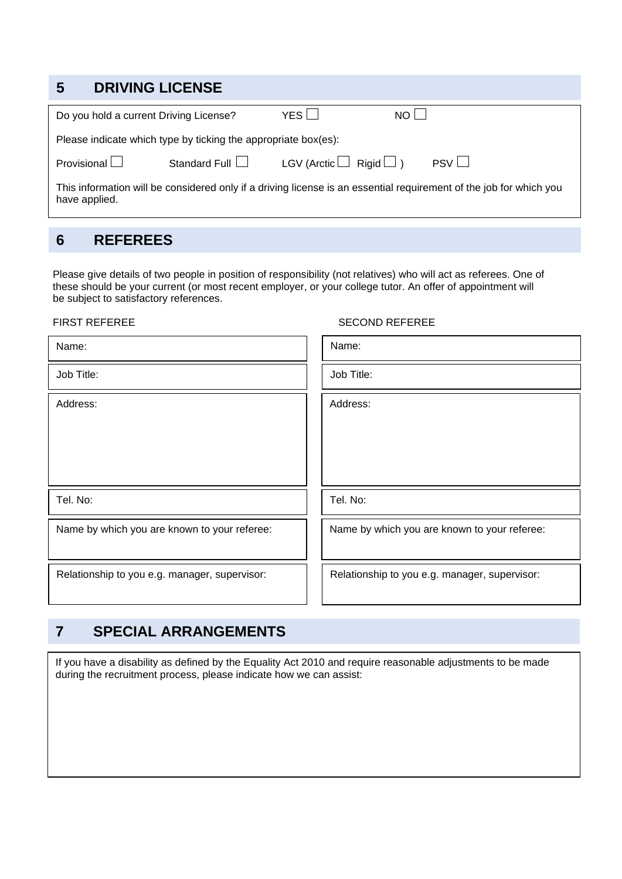| 5 | <b>DRIVING LICENSE</b>                 |                                                                |                                   |                                                                                                                    |
|---|----------------------------------------|----------------------------------------------------------------|-----------------------------------|--------------------------------------------------------------------------------------------------------------------|
|   | Do you hold a current Driving License? |                                                                | YESI                              | NO <sub>1</sub>                                                                                                    |
|   |                                        | Please indicate which type by ticking the appropriate box(es): |                                   |                                                                                                                    |
|   | Provisional $\Box$                     | Standard Full $\Box$                                           | LGV (Arctic $\Box$ Rigid $\Box$ ) | PSV                                                                                                                |
|   | have applied.                          |                                                                |                                   | This information will be considered only if a driving license is an essential requirement of the job for which you |

#### **6 REFEREES**

Please give details of two people in position of responsibility (not relatives) who will act as referees. One of these should be your current (or most recent employer, or your college tutor. An offer of appointment will be subject to satisfactory references.

#### FIRST REFEREE SECOND REFEREE

| Name:                                         | Name:                                         |
|-----------------------------------------------|-----------------------------------------------|
| Job Title:                                    | Job Title:                                    |
| Address:                                      | Address:                                      |
| Tel. No:                                      | Tel. No:                                      |
| Name by which you are known to your referee:  | Name by which you are known to your referee:  |
| Relationship to you e.g. manager, supervisor: | Relationship to you e.g. manager, supervisor: |

#### **7 SPECIAL ARRANGEMENTS**

If you have a disability as defined by the Equality Act 2010 and require reasonable adjustments to be made during the recruitment process, please indicate how we can assist: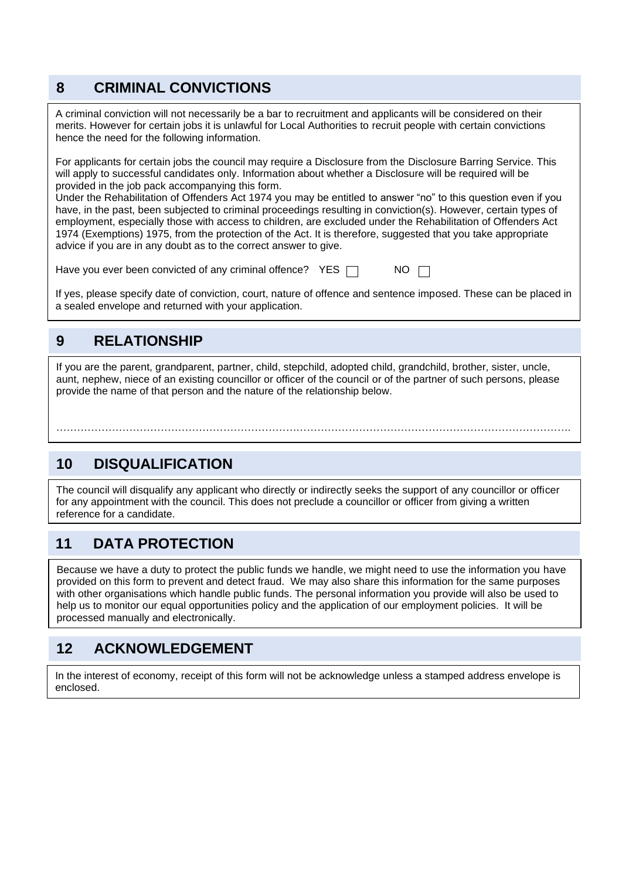#### **8 CRIMINAL CONVICTIONS**

A criminal conviction will not necessarily be a bar to recruitment and applicants will be considered on their merits. However for certain jobs it is unlawful for Local Authorities to recruit people with certain convictions hence the need for the following information.

For applicants for certain jobs the council may require a Disclosure from the Disclosure Barring Service. This will apply to successful candidates only. Information about whether a Disclosure will be required will be provided in the job pack accompanying this form.

Under the Rehabilitation of Offenders Act 1974 you may be entitled to answer "no" to this question even if you have, in the past, been subjected to criminal proceedings resulting in conviction(s). However, certain types of employment, especially those with access to children, are excluded under the Rehabilitation of Offenders Act 1974 (Exemptions) 1975, from the protection of the Act. It is therefore, suggested that you take appropriate advice if you are in any doubt as to the correct answer to give.

Have you ever been convicted of any criminal offence?  $YES \Box$ 

If yes, please specify date of conviction, court, nature of offence and sentence imposed. These can be placed in a sealed envelope and returned with your application.

#### **9 RELATIONSHIP**

If you are the parent, grandparent, partner, child, stepchild, adopted child, grandchild, brother, sister, uncle, aunt, nephew, niece of an existing councillor or officer of the council or of the partner of such persons, please provide the name of that person and the nature of the relationship below.

………………………………………………………………………………………………………………………………….

### **10 DISQUALIFICATION**

The council will disqualify any applicant who directly or indirectly seeks the support of any councillor or officer for any appointment with the council. This does not preclude a councillor or officer from giving a written reference for a candidate.

### **11 DATA PROTECTION**

Because we have a duty to protect the public funds we handle, we might need to use the information you have provided on this form to prevent and detect fraud. We may also share this information for the same purposes with other organisations which handle public funds. The personal information you provide will also be used to help us to monitor our equal opportunities policy and the application of our employment policies. It will be processed manually and electronically.

#### **12 ACKNOWLEDGEMENT**

In the interest of economy, receipt of this form will not be acknowledge unless a stamped address envelope is enclosed.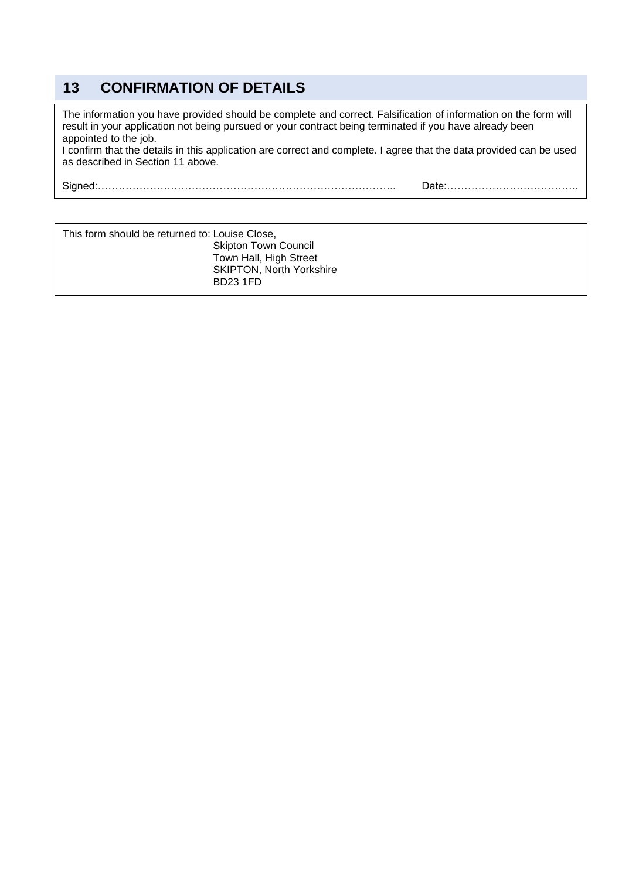#### **13 CONFIRMATION OF DETAILS**

The information you have provided should be complete and correct. Falsification of information on the form will result in your application not being pursued or your contract being terminated if you have already been appointed to the job.

I confirm that the details in this application are correct and complete. I agree that the data provided can be used as described in Section 11 above.

Signed:………………………………………………………………………….. Date:………………………………..

| This form should be returned to: Louise Close, |                                 |
|------------------------------------------------|---------------------------------|
|                                                | <b>Skipton Town Council</b>     |
|                                                | Town Hall, High Street          |
|                                                | <b>SKIPTON, North Yorkshire</b> |
|                                                | <b>BD23 1FD</b>                 |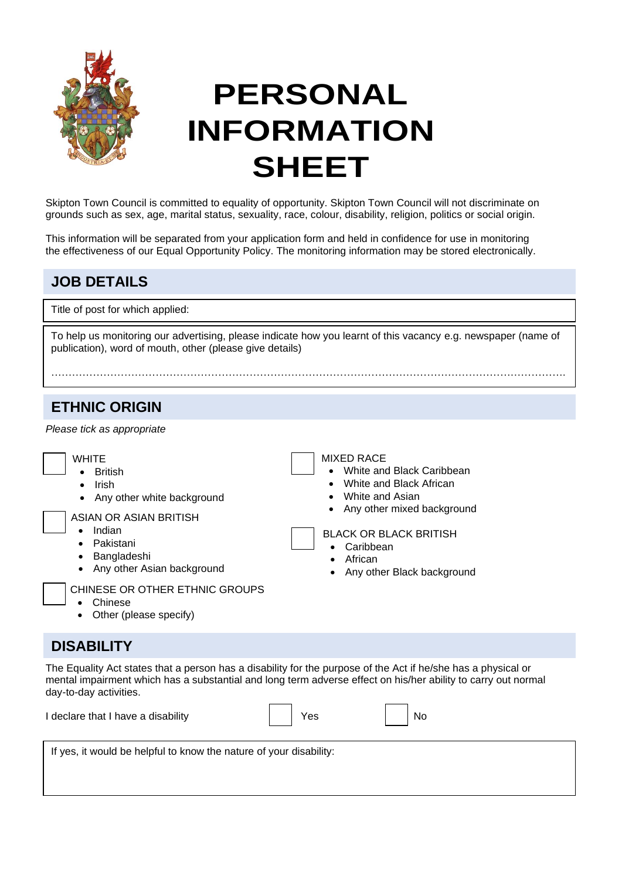

# **PERSONAL INFORMATION SHEET**

Skipton Town Council is committed to equality of opportunity. Skipton Town Council will not discriminate on grounds such as sex, age, marital status, sexuality, race, colour, disability, religion, politics or social origin.

This information will be separated from your application form and held in confidence for use in monitoring the effectiveness of our Equal Opportunity Policy. The monitoring information may be stored electronically.

#### **JOB DETAILS**

Title of post for which applied:

To help us monitoring our advertising, please indicate how you learnt of this vacancy e.g. newspaper (name of publication), word of mouth, other (please give details)

………………………………………………………………………………………………………………………………….

#### **ETHNIC ORIGIN**

*Please tick as appropriate* 

| <b>MIXED RACE</b><br><b>WHITE</b><br>White and Black Caribbean<br><b>British</b><br>$\bullet$<br>White and Black African<br><b>Irish</b><br>$\bullet$<br>$\bullet$<br>White and Asian<br>Any other white background<br>Any other mixed background<br>ASIAN OR ASIAN BRITISH<br>Indian<br>$\bullet$<br><b>BLACK OR BLACK BRITISH</b><br>Pakistani<br>$\bullet$<br>Caribbean<br>Bangladeshi<br>$\bullet$<br>African<br>Any other Asian background<br>$\bullet$<br>Any other Black background<br>CHINESE OR OTHER ETHNIC GROUPS<br>Chinese<br>$\bullet$<br>Other (please specify)<br>$\bullet$ |
|---------------------------------------------------------------------------------------------------------------------------------------------------------------------------------------------------------------------------------------------------------------------------------------------------------------------------------------------------------------------------------------------------------------------------------------------------------------------------------------------------------------------------------------------------------------------------------------------|
|---------------------------------------------------------------------------------------------------------------------------------------------------------------------------------------------------------------------------------------------------------------------------------------------------------------------------------------------------------------------------------------------------------------------------------------------------------------------------------------------------------------------------------------------------------------------------------------------|

#### **DISABILITY**

The Equality Act states that a person has a disability for the purpose of the Act if he/she has a physical or mental impairment which has a substantial and long term adverse effect on his/her ability to carry out normal day-to-day activities.

| I declare that I have a disability | Yes | No. |
|------------------------------------|-----|-----|
|                                    |     |     |

If yes, it would be helpful to know the nature of your disability: